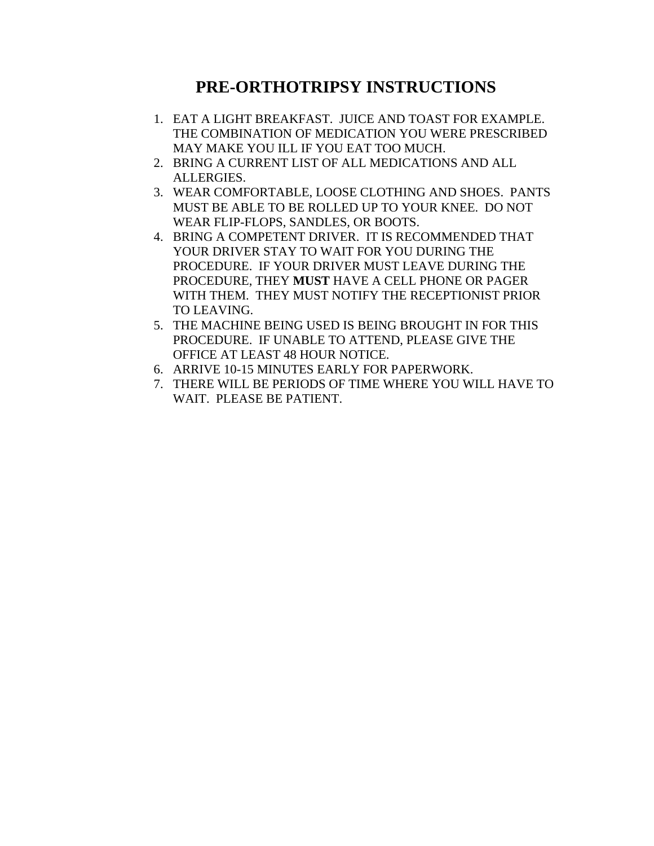## **PRE-ORTHOTRIPSY INSTRUCTIONS**

- 1. EAT A LIGHT BREAKFAST. JUICE AND TOAST FOR EXAMPLE. THE COMBINATION OF MEDICATION YOU WERE PRESCRIBED MAY MAKE YOU ILL IF YOU EAT TOO MUCH.
- 2. BRING A CURRENT LIST OF ALL MEDICATIONS AND ALL ALLERGIES.
- 3. WEAR COMFORTABLE, LOOSE CLOTHING AND SHOES. PANTS MUST BE ABLE TO BE ROLLED UP TO YOUR KNEE. DO NOT WEAR FLIP-FLOPS, SANDLES, OR BOOTS.
- 4. BRING A COMPETENT DRIVER. IT IS RECOMMENDED THAT YOUR DRIVER STAY TO WAIT FOR YOU DURING THE PROCEDURE. IF YOUR DRIVER MUST LEAVE DURING THE PROCEDURE, THEY **MUST** HAVE A CELL PHONE OR PAGER WITH THEM. THEY MUST NOTIFY THE RECEPTIONIST PRIOR TO LEAVING.
- 5. THE MACHINE BEING USED IS BEING BROUGHT IN FOR THIS PROCEDURE. IF UNABLE TO ATTEND, PLEASE GIVE THE OFFICE AT LEAST 48 HOUR NOTICE.
- 6. ARRIVE 10-15 MINUTES EARLY FOR PAPERWORK.
- 7. THERE WILL BE PERIODS OF TIME WHERE YOU WILL HAVE TO WAIT. PLEASE BE PATIENT.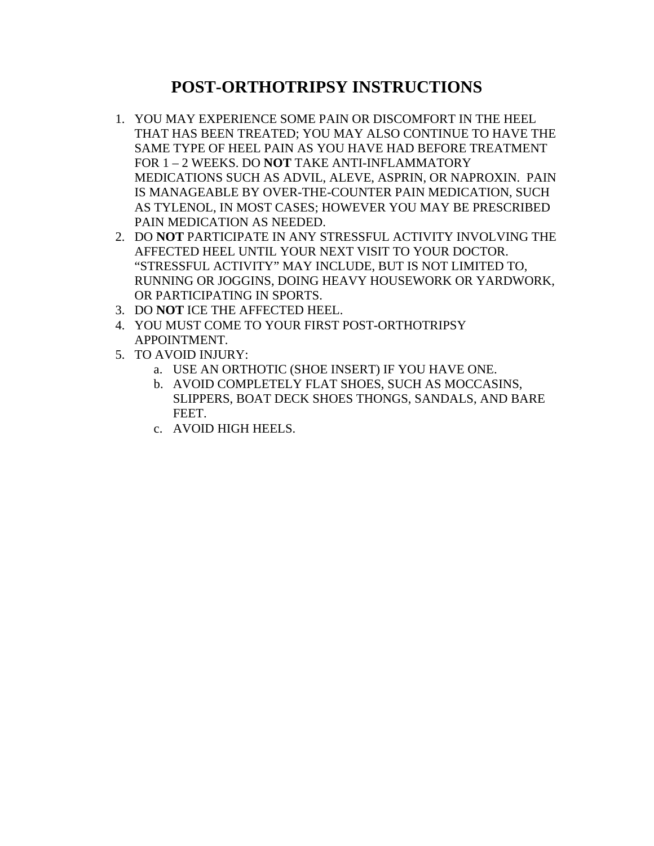## **POST-ORTHOTRIPSY INSTRUCTIONS**

- 1. YOU MAY EXPERIENCE SOME PAIN OR DISCOMFORT IN THE HEEL THAT HAS BEEN TREATED; YOU MAY ALSO CONTINUE TO HAVE THE SAME TYPE OF HEEL PAIN AS YOU HAVE HAD BEFORE TREATMENT FOR 1 – 2 WEEKS. DO **NOT** TAKE ANTI-INFLAMMATORY MEDICATIONS SUCH AS ADVIL, ALEVE, ASPRIN, OR NAPROXIN. PAIN IS MANAGEABLE BY OVER-THE-COUNTER PAIN MEDICATION, SUCH AS TYLENOL, IN MOST CASES; HOWEVER YOU MAY BE PRESCRIBED PAIN MEDICATION AS NEEDED.
- 2. DO **NOT** PARTICIPATE IN ANY STRESSFUL ACTIVITY INVOLVING THE AFFECTED HEEL UNTIL YOUR NEXT VISIT TO YOUR DOCTOR. "STRESSFUL ACTIVITY" MAY INCLUDE, BUT IS NOT LIMITED TO, RUNNING OR JOGGINS, DOING HEAVY HOUSEWORK OR YARDWORK, OR PARTICIPATING IN SPORTS.
- 3. DO **NOT** ICE THE AFFECTED HEEL.
- 4. YOU MUST COME TO YOUR FIRST POST-ORTHOTRIPSY APPOINTMENT.
- 5. TO AVOID INJURY:
	- a. USE AN ORTHOTIC (SHOE INSERT) IF YOU HAVE ONE.
	- b. AVOID COMPLETELY FLAT SHOES, SUCH AS MOCCASINS, SLIPPERS, BOAT DECK SHOES THONGS, SANDALS, AND BARE FEET.
	- c. AVOID HIGH HEELS.